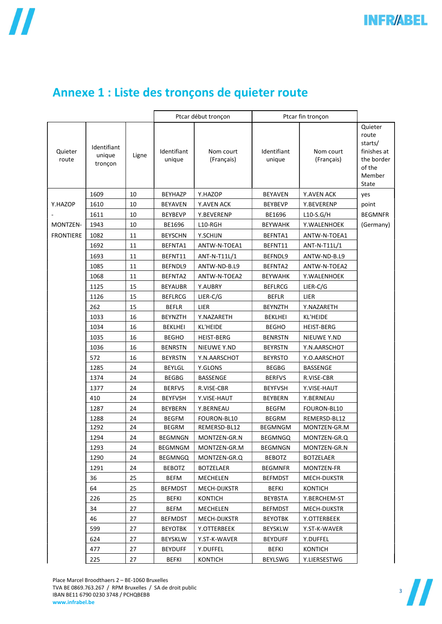|  |  |  | Annexe 1 : Liste des tronçons de quieter route |
|--|--|--|------------------------------------------------|
|  |  |  |                                                |

|                  |                                  |       | Ptcar début tronçon   |                         | Ptcar fin tronçon     |                         |                                                                                       |
|------------------|----------------------------------|-------|-----------------------|-------------------------|-----------------------|-------------------------|---------------------------------------------------------------------------------------|
| Quieter<br>route | Identifiant<br>unique<br>tronçon | Ligne | Identifiant<br>unique | Nom court<br>(Français) | Identifiant<br>unique | Nom court<br>(Français) | Quieter<br>route<br>starts/<br>finishes at<br>the border<br>of the<br>Member<br>State |
|                  | 1609                             | 10    | <b>BEYHAZP</b>        | Y.HAZOP                 | <b>BEYAVEN</b>        | Y.AVEN ACK              | yes                                                                                   |
| Y.HAZOP          | 1610                             | 10    | <b>BEYAVEN</b>        | Y.AVEN ACK              | <b>BEYBEVP</b>        | Y.BEVERENP              | point                                                                                 |
|                  | 1611                             | 10    | <b>BEYBEVP</b>        | Y.BEVERENP              | BE1696                | $L10-S.G/H$             | <b>BEGMNFR</b>                                                                        |
| <b>MONTZEN-</b>  | 1943                             | 10    | BE1696                | L10-RGH                 | BEYWAHK               | Y.WALENHOEK             | (Germany)                                                                             |
| <b>FRONTIERE</b> | 1082                             | 11    | <b>BEYSCHN</b>        | Y.SCHIJN                | BEFNTA1               | ANTW-N-TOEA1            |                                                                                       |
|                  | 1692                             | 11    | BEFNTA1               | ANTW-N-TOEA1            | BEFNT11               | ANT-N-T11L/1            |                                                                                       |
|                  | 1693                             | 11    | BEFNT11               | ANT-N-T11L/1            | BEFNDL9               | ANTW-ND-B.L9            |                                                                                       |
|                  | 1085                             | 11    | BEFNDL9               | ANTW-ND-B.L9            | BEFNTA2               | ANTW-N-TOEA2            |                                                                                       |
|                  | 1068                             | 11    | BEFNTA2               | ANTW-N-TOEA2            | <b>BEYWAHK</b>        | Y.WALENHOEK             |                                                                                       |
|                  | 1125                             | 15    | <b>BEYAUBR</b>        | Y.AUBRY                 | <b>BEFLRCG</b>        | LIER-C/G                |                                                                                       |
|                  | 1126                             | 15    | <b>BEFLRCG</b>        | LIER-C/G                | <b>BEFLR</b>          | LIER                    |                                                                                       |
|                  | 262                              | 15    | <b>BEFLR</b>          | LIER                    | <b>BEYNZTH</b>        | Y.NAZARETH              |                                                                                       |
|                  | 1033                             | 16    | <b>BEYNZTH</b>        | Y.NAZARETH              | <b>BEKLHEI</b>        | KL'HEIDE                |                                                                                       |
|                  | 1034                             | 16    | <b>BEKLHEI</b>        | KL'HEIDE                | <b>BEGHO</b>          | <b>HEIST-BERG</b>       |                                                                                       |
|                  | 1035                             | 16    | <b>BEGHO</b>          | <b>HEIST-BERG</b>       | <b>BENRSTN</b>        | NIEUWE Y.ND             |                                                                                       |
|                  | 1036                             | 16    | <b>BENRSTN</b>        | NIEUWE Y.ND             | <b>BEYRSTN</b>        | Y.N.AARSCHOT            |                                                                                       |
|                  | 572                              | 16    | <b>BEYRSTN</b>        | Y.N.AARSCHOT            | <b>BEYRSTO</b>        | Y.O.AARSCHOT            |                                                                                       |
|                  | 1285                             | 24    | <b>BEYLGL</b>         | Y.GLONS                 | <b>BEGBG</b>          | <b>BASSENGE</b>         |                                                                                       |
|                  | 1374                             | 24    | <b>BEGBG</b>          | BASSENGE                | <b>BERFVS</b>         | R.VISE-CBR              |                                                                                       |
|                  | 1377                             | 24    | <b>BERFVS</b>         | R.VISE-CBR              | <b>BEYFVSH</b>        | Y.VISE-HAUT             |                                                                                       |
|                  | 410                              | 24    | <b>BEYFVSH</b>        | Y.VISE-HAUT             | <b>BEYBERN</b>        | Y.BERNEAU               |                                                                                       |
|                  | 1287                             | 24    | <b>BEYBERN</b>        | Y.BERNEAU               | <b>BEGFM</b>          | FOURON-BL10             |                                                                                       |
|                  | 1288                             | 24    | <b>BEGFM</b>          | FOURON-BL10             | <b>BEGRM</b>          | REMERSD-BL12            |                                                                                       |
|                  | 1292                             | 24    | <b>BEGRM</b>          | REMERSD-BL12            | <b>BEGMNGM</b>        | MONTZEN-GR.M            |                                                                                       |
|                  | 1294                             | 24    | <b>BEGMNGN</b>        | MONTZEN-GR.N            | <b>BEGMNGQ</b>        | MONTZEN-GR.Q            |                                                                                       |
|                  | 1293                             | 24    | <b>BEGMNGM</b>        | MONTZEN-GR.M            | <b>BEGMNGN</b>        | MONTZEN-GR.N            |                                                                                       |
|                  | 1290                             | 24    | <b>BEGMNGQ</b>        | MONTZEN-GR.Q            | <b>BEBOTZ</b>         | <b>BOTZELAER</b>        |                                                                                       |
|                  | 1291                             | 24    | <b>BEBOTZ</b>         | <b>BOTZELAER</b>        | <b>BEGMNFR</b>        | MONTZEN-FR              |                                                                                       |
|                  | 36                               | 25    | BEFM                  | MECHELEN                | <b>BEFMDST</b>        | MECH-DIJKSTR            |                                                                                       |
|                  | 64                               | 25    | <b>BEFMDST</b>        | MECH-DIJKSTR            | <b>BEFKI</b>          | <b>KONTICH</b>          |                                                                                       |
|                  | 226                              | 25    | <b>BEFKI</b>          | <b>KONTICH</b>          | <b>BEYBSTA</b>        | Y.BERCHEM-ST            |                                                                                       |
|                  | 34                               | 27    | <b>BEFM</b>           | MECHELEN                | <b>BEFMDST</b>        | MECH-DIJKSTR            |                                                                                       |
|                  | 46                               | 27    | BEFMDST               | MECH-DIJKSTR            | BEYOTBK               | Y.OTTERBEEK             |                                                                                       |
|                  | 599                              | 27    | <b>BEYOTBK</b>        | Y.OTTERBEEK             | <b>BEYSKLW</b>        | Y.ST-K-WAVER            |                                                                                       |
|                  | 624                              | 27    | <b>BEYSKLW</b>        | Y.ST-K-WAVER            | <b>BEYDUFF</b>        | Y.DUFFEL                |                                                                                       |
|                  | 477                              | 27    | <b>BEYDUFF</b>        | Y.DUFFEL                | <b>BEFKI</b>          | <b>KONTICH</b>          |                                                                                       |
|                  | 225                              | 27    | <b>BEFKI</b>          | <b>KONTICH</b>          | <b>BEYLSWG</b>        | Y.LIERSESTWG            |                                                                                       |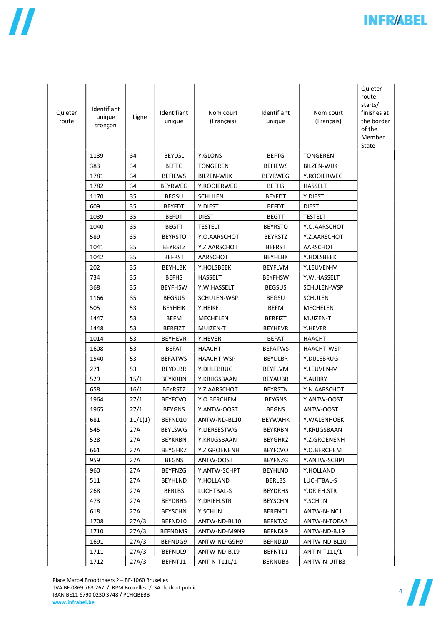

| Quieter<br>route | Identifiant<br>unique<br>tronçon | Ligne   | Identifiant<br>unique | Nom court<br>(Français) | Identifiant<br>unique | Nom court<br>(Français) | Quieter<br>route<br>starts/<br>finishes at<br>the border<br>of the<br>Member<br>State |
|------------------|----------------------------------|---------|-----------------------|-------------------------|-----------------------|-------------------------|---------------------------------------------------------------------------------------|
|                  | 1139                             | 34      | <b>BEYLGL</b>         | Y.GLONS                 | <b>BEFTG</b>          | <b>TONGEREN</b>         |                                                                                       |
|                  | 383                              | 34      | <b>BEFTG</b>          | <b>TONGEREN</b>         | <b>BEFIEWS</b>        | <b>BILZEN-WIJK</b>      |                                                                                       |
|                  | 1781                             | 34      | <b>BEFIEWS</b>        | <b>BILZEN-WIJK</b>      | <b>BEYRWEG</b>        | Y.ROOIERWEG             |                                                                                       |
|                  | 1782                             | 34      | <b>BEYRWEG</b>        | Y.ROOIERWEG             | <b>BEFHS</b>          | <b>HASSELT</b>          |                                                                                       |
|                  | 1170                             | 35      | <b>BEGSU</b>          | <b>SCHULEN</b>          | <b>BEYFDT</b>         | Y.DIEST                 |                                                                                       |
|                  | 609                              | 35      | <b>BEYFDT</b>         | Y.DIEST                 | <b>BEFDT</b>          | <b>DIEST</b>            |                                                                                       |
|                  | 1039                             | 35      | BEFDT                 | <b>DIEST</b>            | <b>BEGTT</b>          | TESTELT                 |                                                                                       |
|                  | 1040                             | 35      | <b>BEGTT</b>          | <b>TESTELT</b>          | <b>BEYRSTO</b>        | Y.O.AARSCHOT            |                                                                                       |
|                  | 589                              | 35      | <b>BEYRSTO</b>        | Y.O.AARSCHOT            | <b>BEYRSTZ</b>        | Y.Z.AARSCHOT            |                                                                                       |
|                  | 1041                             | 35      | <b>BEYRSTZ</b>        | Y.Z.AARSCHOT            | <b>BEFRST</b>         | AARSCHOT                |                                                                                       |
|                  | 1042                             | 35      | <b>BEFRST</b>         | AARSCHOT                | <b>BEYHLBK</b>        | Y.HOLSBEEK              |                                                                                       |
|                  | 202                              | 35      | <b>BEYHLBK</b>        | Y.HOLSBEEK              | <b>BEYFLVM</b>        | Y.LEUVEN-M              |                                                                                       |
|                  | 734                              | 35      | <b>BEFHS</b>          | HASSELT                 | <b>BEYFHSW</b>        | Y.W.HASSELT             |                                                                                       |
|                  | 368                              | 35      | <b>BEYFHSW</b>        | Y.W.HASSELT             | <b>BEGSUS</b>         | SCHULEN-WSP             |                                                                                       |
|                  | 1166                             | 35      | <b>BEGSUS</b>         | SCHULEN-WSP             | <b>BEGSU</b>          | <b>SCHULEN</b>          |                                                                                       |
|                  | 505                              | 53      | <b>BEYHEIK</b>        | Y.HEIKE                 | BEFM                  | <b>MECHELEN</b>         |                                                                                       |
|                  | 1447                             | 53      | BEFM                  | MECHELEN                | <b>BERFIZT</b>        | MUIZEN-T                |                                                                                       |
|                  | 1448                             | 53      | <b>BERFIZT</b>        | MUIZEN-T                | <b>BEYHEVR</b>        | Y.HEVER                 |                                                                                       |
|                  | 1014                             | 53      | <b>BEYHEVR</b>        | Y.HEVER                 | <b>BEFAT</b>          | HAACHT                  |                                                                                       |
|                  | 1608                             | 53      | <b>BEFAT</b>          | <b>HAACHT</b>           | <b>BEFATWS</b>        | HAACHT-WSP              |                                                                                       |
|                  | 1540                             | 53      | <b>BEFATWS</b>        | HAACHT-WSP              | <b>BEYDLBR</b>        | Y.DIJLEBRUG             |                                                                                       |
|                  | 271                              | 53      | <b>BEYDLBR</b>        | Y.DIJLEBRUG             | <b>BEYFLVM</b>        | Y.LEUVEN-M              |                                                                                       |
|                  | 529                              | 15/1    | <b>BEYKRBN</b>        | Y.KRIJGSBAAN            | <b>BEYAUBR</b>        | Y.AUBRY                 |                                                                                       |
|                  | 658                              | 16/1    | <b>BEYRSTZ</b>        | Y.Z.AARSCHOT            | <b>BEYRSTN</b>        | Y.N.AARSCHOT            |                                                                                       |
|                  | 1964                             | 27/1    | <b>BEYFCVO</b>        | Y.O.BERCHEM             | <b>BEYGNS</b>         | Y.ANTW-OOST             |                                                                                       |
|                  | 1965                             | 27/1    | <b>BEYGNS</b>         | Y.ANTW-OOST             | <b>BEGNS</b>          | ANTW-OOST               |                                                                                       |
|                  | 681                              | 11/1(1) | BEFND10               | ANTW-ND-BL10            | <b>BEYWAHK</b>        | Y.WALENHOEK             |                                                                                       |
|                  | 545                              | 27A     | <b>BEYLSWG</b>        | Y.LIERSESTWG            | <b>BEYKRBN</b>        | Y.KRIJGSBAAN            |                                                                                       |
|                  | 528                              | 27A     | BEYKRBN               | Y.KRIJGSBAAN            | <b>BEYGHKZ</b>        | Y.Z.GROENENH            |                                                                                       |
|                  | 661                              | 27A     | BEYGHKZ               | Y.Z.GROENENH            | <b>BEYFCVO</b>        | Y.O.BERCHEM             |                                                                                       |
|                  | 959                              | 27A     | <b>BEGNS</b>          | ANTW-OOST               | <b>BEYFNZG</b>        | Y.ANTW-SCHPT            |                                                                                       |
|                  | 960                              | 27A     | <b>BEYFNZG</b>        | Y.ANTW-SCHPT            | <b>BEYHLND</b>        | Y.HOLLAND               |                                                                                       |
|                  | 511                              | 27A     | <b>BEYHLND</b>        | Y.HOLLAND               | <b>BERLBS</b>         | LUCHTBAL-S              |                                                                                       |
|                  | 268                              | 27A     | <b>BERLBS</b>         | LUCHTBAL-S              | <b>BEYDRHS</b>        | Y.DRIEH.STR             |                                                                                       |
|                  | 473                              | 27A     | <b>BEYDRHS</b>        | Y.DRIEH.STR             | <b>BEYSCHN</b>        | Y.SCHIJN                |                                                                                       |
|                  | 618                              | 27A     | <b>BEYSCHN</b>        | Y.SCHIJN                | BERFNC1               | ANTW-N-INC1             |                                                                                       |
|                  | 1708                             | 27A/3   | BEFND10               | ANTW-ND-BL10            | BEFNTA2               | ANTW-N-TOEA2            |                                                                                       |
|                  | 1710                             | 27A/3   | BEFNDM9               | ANTW-ND-M9N9            | BEFNDL9               | ANTW-ND-B.L9            |                                                                                       |
|                  | 1691                             | 27A/3   | BEFNDG9               | ANTW-ND-G9H9            | BEFND10               | ANTW-ND-BL10            |                                                                                       |
|                  | 1711                             | 27A/3   | BEFNDL9               | ANTW-ND-B.L9            | BEFNT11               | ANT-N-T11L/1            |                                                                                       |
|                  | 1712                             | 27A/3   | BEFNT11               | ANT-N-T11L/1            | BERNUB3               | ANTW-N-UITB3            |                                                                                       |



 $\mathsf{l}$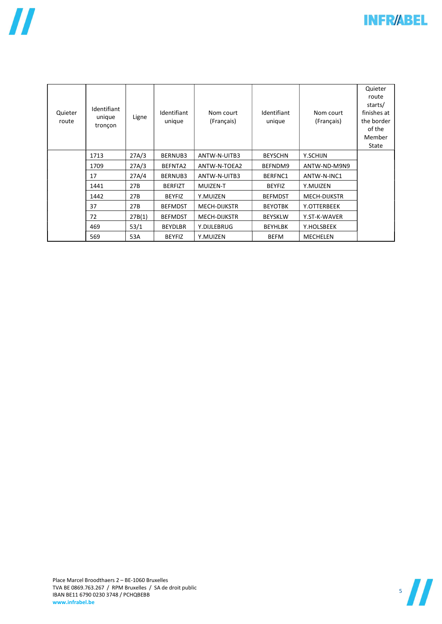

| Quieter<br>route | Identifiant<br>unique<br>tronçon | Ligne  | Identifiant<br>unique | Nom court<br>(Français) | Identifiant<br>unique | Nom court<br>(Français) | Quieter<br>route<br>starts/<br>finishes at<br>the border<br>of the<br>Member<br>State |
|------------------|----------------------------------|--------|-----------------------|-------------------------|-----------------------|-------------------------|---------------------------------------------------------------------------------------|
|                  | 1713                             | 27A/3  | BERNUB3               | ANTW-N-UITB3            | <b>BEYSCHN</b>        | Y.SCHIJN                |                                                                                       |
|                  | 1709                             | 27A/3  | BEFNTA2               | ANTW-N-TOEA2            | BEFNDM9               | ANTW-ND-M9N9            |                                                                                       |
|                  | 17                               | 27A/4  | BERNUB3               | ANTW-N-UITB3            | BERFNC1               | ANTW-N-INC1             |                                                                                       |
|                  | 1441                             | 27B    | <b>BERFIZT</b>        | MUIZEN-T                | <b>BEYFIZ</b>         | Y.MUIZEN                |                                                                                       |
|                  | 1442                             | 27B    | <b>BEYFIZ</b>         | Y.MUIZEN                | <b>BEFMDST</b>        | <b>MECH-DIJKSTR</b>     |                                                                                       |
|                  | 37                               | 27B    | <b>BEFMDST</b>        | MECH-DIJKSTR            | <b>BEYOTBK</b>        | Y.OTTERBEEK             |                                                                                       |
|                  | 72                               | 27B(1) | <b>BEFMDST</b>        | <b>MECH-DIJKSTR</b>     | <b>BEYSKLW</b>        | Y.ST-K-WAVER            |                                                                                       |
|                  | 469                              | 53/1   | <b>BEYDLBR</b>        | Y.DIJLEBRUG             | <b>BEYHLBK</b>        | Y.HOLSBEEK              |                                                                                       |
|                  | 569                              | 53A    | <b>BEYFIZ</b>         | Y.MUIZEN                | <b>BEFM</b>           | <b>MECHELEN</b>         |                                                                                       |